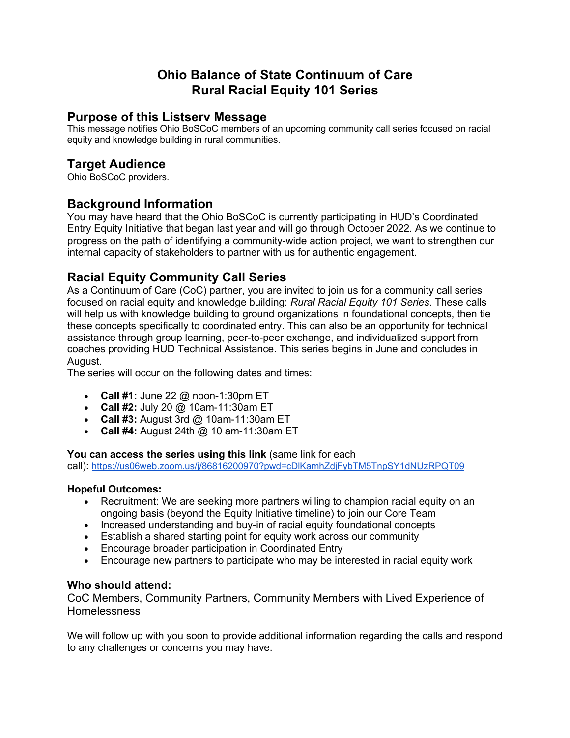# **Ohio Balance of State Continuum of Care Rural Racial Equity 101 Series**

### **Purpose of this Listserv Message**

This message notifies Ohio BoSCoC members of an upcoming community call series focused on racial equity and knowledge building in rural communities.

## **Target Audience**

Ohio BoSCoC providers.

## **Background Information**

You may have heard that the Ohio BoSCoC is currently participating in HUD's Coordinated Entry Equity Initiative that began last year and will go through October 2022. As we continue to progress on the path of identifying a community-wide action project, we want to strengthen our internal capacity of stakeholders to partner with us for authentic engagement.

## **Racial Equity Community Call Series**

As a Continuum of Care (CoC) partner, you are invited to join us for a community call series focused on racial equity and knowledge building: *Rural Racial Equity 101 Series*. These calls will help us with knowledge building to ground organizations in foundational concepts, then tie these concepts specifically to coordinated entry. This can also be an opportunity for technical assistance through group learning, peer-to-peer exchange, and individualized support from coaches providing HUD Technical Assistance. This series begins in June and concludes in August.

The series will occur on the following dates and times:

- **Call #1:** June 22 @ noon-1:30pm ET
- **Call #2:** July 20 @ 10am-11:30am ET
- **Call #3:** August 3rd @ 10am-11:30am ET
- **Call #4:** August 24th @ 10 am-11:30am ET

#### **You can access the series using this link** (same link for each

call): https://us06web.zoom.us/j/86816200970?pwd=cDlKamhZdjFybTM5TnpSY1dNUzRPQT09

#### **Hopeful Outcomes:**

- Recruitment: We are seeking more partners willing to champion racial equity on an ongoing basis (beyond the Equity Initiative timeline) to join our Core Team
- Increased understanding and buy-in of racial equity foundational concepts
- Establish a shared starting point for equity work across our community
- Encourage broader participation in Coordinated Entry
- Encourage new partners to participate who may be interested in racial equity work

#### **Who should attend:**

CoC Members, Community Partners, Community Members with Lived Experience of Homelessness

We will follow up with you soon to provide additional information regarding the calls and respond to any challenges or concerns you may have.